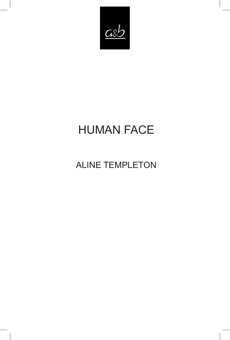

## HUMAN FACE

## ALINE TEMPLETON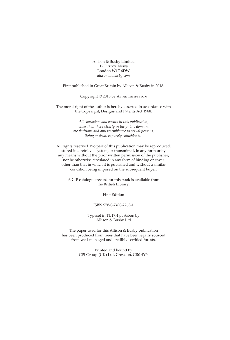Allison & Busby Limited 12 Fitzroy Mews London W1T 6DW *allisonandbusby.com*

First published in Great Britain by Allison & Busby in 2018.

Copyright © 2018 by ALINE TEMPLETON

The moral right of the author is hereby asserted in accordance with the Copyright, Designs and Patents Act 1988.

> *All characters and events in this publication, other than those clearly in the public domain, are fictitious and any resemblance to actual persons, living or dead, is purely coincidental.*

All rights reserved. No part of this publication may be reproduced, stored in a retrieval system, or transmitted, in any form or by any means without the prior written permission of the publisher, nor be otherwise circulated in any form of binding or cover other than that in which it is published and without a similar condition being imposed on the subsequent buyer.

A CIP catalogue record for this book is available from the British Library.

First Edition

## ISBN 978-0-7490-2263-1

Typeset in 11/17.4 pt Sabon by Allison & Busby Ltd

The paper used for this Allison & Busby publication has been produced from trees that have been legally sourced from well-managed and credibly certified forests.

> Printed and bound by CPI Group (UK) Ltd, Croydon, CR0 4YY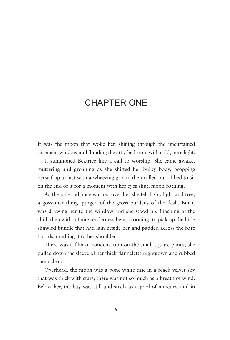## CHAPTER ONE

It was the moon that woke her, shining through the uncurtained casement window and flooding the attic bedroom with cold, pure light.

It summoned Beatrice like a call to worship. She came awake, muttering and groaning as she shifted her bulky body, propping herself up at last with a wheezing groan, then rolled out of bed to sit on the end of it for a moment with her eyes shut, moon bathing.

As the pale radiance washed over her she felt light, light and free, a gossamer thing, purged of the gross burdens of the flesh. But it was drawing her to the window and she stood up, flinching at the chill, then with infinite tenderness bent, crooning, to pick up the little shawled bundle that had lain beside her and padded across the bare boards, cradling it to her shoulder.

There was a film of condensation on the small square panes; she pulled down the sleeve of her thick flannelette nightgown and rubbed them clear.

Overhead, the moon was a bone-white disc in a black velvet sky that was thick with stars; there was not so much as a breath of wind. Below her, the bay was still and steely as a pool of mercury, and in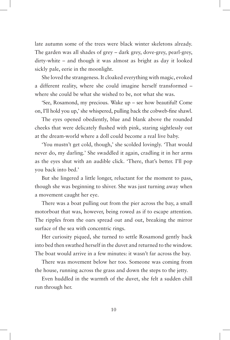late autumn some of the trees were black winter skeletons already. The garden was all shades of grey – dark grey, dove-grey, pearl-grey, dirty-white – and though it was almost as bright as day it looked sickly pale, eerie in the moonlight.

She loved the strangeness. It cloaked everything with magic, evoked a different reality, where she could imagine herself transformed – where she could be what she wished to be, not what she was.

'See, Rosamond, my precious. Wake up – see how beautiful! Come on, I'll hold you up,' she whispered, pulling back the cobweb-fine shawl.

The eyes opened obediently, blue and blank above the rounded cheeks that were delicately flushed with pink, staring sightlessly out at the dream-world where a doll could become a real live baby.

'You mustn't get cold, though,' she scolded lovingly. 'That would never do, my darling.' She swaddled it again, cradling it in her arms as the eyes shut with an audible click. 'There, that's better. I'll pop you back into bed.'

But she lingered a little longer, reluctant for the moment to pass, though she was beginning to shiver. She was just turning away when a movement caught her eye.

There was a boat pulling out from the pier across the bay, a small motorboat that was, however, being rowed as if to escape attention. The ripples from the oars spread out and out, breaking the mirror surface of the sea with concentric rings.

Her curiosity piqued, she turned to settle Rosamond gently back into bed then swathed herself in the duvet and returned to the window. The boat would arrive in a few minutes: it wasn't far across the bay.

There was movement below her too. Someone was coming from the house, running across the grass and down the steps to the jetty.

Even huddled in the warmth of the duvet, she felt a sudden chill run through her.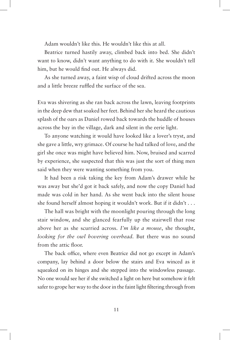Adam wouldn't like this. He wouldn't like this at all.

Beatrice turned hastily away, climbed back into bed. She didn't want to know, didn't want anything to do with it. She wouldn't tell him, but he would find out. He always did.

As she turned away, a faint wisp of cloud drifted across the moon and a little breeze ruffled the surface of the sea.

Eva was shivering as she ran back across the lawn, leaving footprints in the deep dew that soaked her feet. Behind her she heard the cautious splash of the oars as Daniel rowed back towards the huddle of houses across the bay in the village, dark and silent in the eerie light.

To anyone watching it would have looked like a lover's tryst, and she gave a little, wry grimace. Of course he had talked of love, and the girl she once was might have believed him. Now, bruised and scarred by experience, she suspected that this was just the sort of thing men said when they were wanting something from you.

It had been a risk taking the key from Adam's drawer while he was away but she'd got it back safely, and now the copy Daniel had made was cold in her hand. As she went back into the silent house she found herself almost hoping it wouldn't work. But if it didn't . . .

The hall was bright with the moonlight pouring through the long stair window, and she glanced fearfully up the stairwell that rose above her as she scurried across. *I'm like a mouse*, she thought, *looking for the owl hovering overhead.* But there was no sound from the attic floor.

The back office, where even Beatrice did not go except in Adam's company, lay behind a door below the stairs and Eva winced as it squeaked on its hinges and she stepped into the windowless passage. No one would see her if she switched a light on here but somehow it felt safer to grope her way to the door in the faint light filtering through from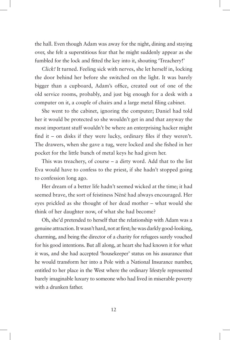the hall. Even though Adam was away for the night, dining and staying over, she felt a superstitious fear that he might suddenly appear as she fumbled for the lock and fitted the key into it, shouting 'Treachery!'

*Click!* It turned. Feeling sick with nerves, she let herself in, locking the door behind her before she switched on the light. It was barely bigger than a cupboard, Adam's office, created out of one of the old service rooms, probably, and just big enough for a desk with a computer on it, a couple of chairs and a large metal filing cabinet.

She went to the cabinet, ignoring the computer; Daniel had told her it would be protected so she wouldn't get in and that anyway the most important stuff wouldn't be where an enterprising hacker might find it – on disks if they were lucky, ordinary files if they weren't. The drawers, when she gave a tug, were locked and she fished in her pocket for the little bunch of metal keys he had given her.

This was treachery, of course – a dirty word. Add that to the list Eva would have to confess to the priest, if she hadn't stopped going to confession long ago.

Her dream of a better life hadn't seemed wicked at the time; it had seemed brave, the sort of feistiness Nënë had always encouraged. Her eyes prickled as she thought of her dead mother – what would she think of her daughter now, of what she had become?

Oh, she'd pretended to herself that the relationship with Adam was a genuine attraction. It wasn't hard, not at first; he was darkly good-looking, charming, and being the director of a charity for refugees surely vouched for his good intentions. But all along, at heart she had known it for what it was, and she had accepted 'housekeeper' status on his assurance that he would transform her into a Pole with a National Insurance number, entitled to her place in the West where the ordinary lifestyle represented barely imaginable luxury to someone who had lived in miserable poverty with a drunken father.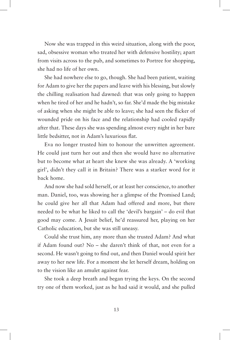Now she was trapped in this weird situation, along with the poor, sad, obsessive woman who treated her with defensive hostility; apart from visits across to the pub, and sometimes to Portree for shopping, she had no life of her own.

She had nowhere else to go, though. She had been patient, waiting for Adam to give her the papers and leave with his blessing, but slowly the chilling realisation had dawned: that was only going to happen when he tired of her and he hadn't, so far. She'd made the big mistake of asking when she might be able to leave; she had seen the flicker of wounded pride on his face and the relationship had cooled rapidly after that. These days she was spending almost every night in her bare little bedsitter, not in Adam's luxurious flat.

Eva no longer trusted him to honour the unwritten agreement. He could just turn her out and then she would have no alternative but to become what at heart she knew she was already. A 'working girl', didn't they call it in Britain? There was a starker word for it back home.

And now she had sold herself, or at least her conscience, to another man. Daniel, too, was showing her a glimpse of the Promised Land; he could give her all that Adam had offered and more, but there needed to be what he liked to call the 'devil's bargain' – do evil that good may come. A Jesuit belief, he'd reassured her, playing on her Catholic education, but she was still uneasy.

Could she trust him, any more than she trusted Adam? And what if Adam found out? No – she daren't think of that, not even for a second. He wasn't going to find out, and then Daniel would spirit her away to her new life. For a moment she let herself dream, holding on to the vision like an amulet against fear.

She took a deep breath and began trying the keys. On the second try one of them worked, just as he had said it would, and she pulled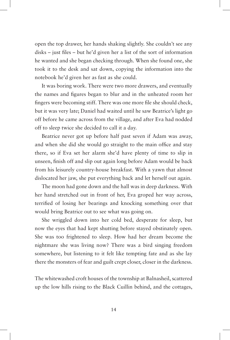open the top drawer, her hands shaking slightly. She couldn't see any disks – just files – but he'd given her a list of the sort of information he wanted and she began checking through. When she found one, she took it to the desk and sat down, copying the information into the notebook he'd given her as fast as she could.

It was boring work. There were two more drawers, and eventually the names and figures began to blur and in the unheated room her fingers were becoming stiff. There was one more file she should check, but it was very late; Daniel had waited until he saw Beatrice's light go off before he came across from the village, and after Eva had nodded off to sleep twice she decided to call it a day.

Beatrice never got up before half past seven if Adam was away, and when she did she would go straight to the main office and stay there, so if Eva set her alarm she'd have plenty of time to slip in unseen, finish off and slip out again long before Adam would be back from his leisurely country-house breakfast. With a yawn that almost dislocated her jaw, she put everything back and let herself out again.

The moon had gone down and the hall was in deep darkness. With her hand stretched out in front of her, Eva groped her way across, terrified of losing her bearings and knocking something over that would bring Beatrice out to see what was going on.

She wriggled down into her cold bed, desperate for sleep, but now the eyes that had kept shutting before stayed obstinately open. She was too frightened to sleep. How had her dream become the nightmare she was living now? There was a bird singing freedom somewhere, but listening to it felt like tempting fate and as she lay there the monsters of fear and guilt crept closer, closer in the darkness.

The whitewashed croft houses of the township at Balnasheil, scattered up the low hills rising to the Black Cuillin behind, and the cottages,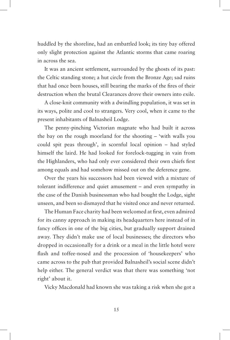huddled by the shoreline, had an embattled look; its tiny bay offered only slight protection against the Atlantic storms that came roaring in across the sea.

It was an ancient settlement, surrounded by the ghosts of its past: the Celtic standing stone; a hut circle from the Bronze Age; sad ruins that had once been houses, still bearing the marks of the fires of their destruction when the brutal Clearances drove their owners into exile.

A close-knit community with a dwindling population, it was set in its ways, polite and cool to strangers. Very cool, when it came to the present inhabitants of Balnasheil Lodge.

The penny-pinching Victorian magnate who had built it across the bay on the rough moorland for the shooting – 'with walls you could spit peas through', in scornful local opinion – had styled himself the laird. He had looked for forelock-tugging in vain from the Highlanders, who had only ever considered their own chiefs first among equals and had somehow missed out on the deference gene.

Over the years his successors had been viewed with a mixture of tolerant indifference and quiet amusement – and even sympathy in the case of the Danish businessman who had bought the Lodge, sight unseen, and been so dismayed that he visited once and never returned.

The Human Face charity had been welcomed at first, even admired for its canny approach in making its headquarters here instead of in fancy offices in one of the big cities, but gradually support drained away. They didn't make use of local businesses; the directors who dropped in occasionally for a drink or a meal in the little hotel were flash and toffee-nosed and the procession of 'housekeepers' who came across to the pub that provided Balnasheil's social scene didn't help either. The general verdict was that there was something 'not right' about it.

Vicky Macdonald had known she was taking a risk when she got a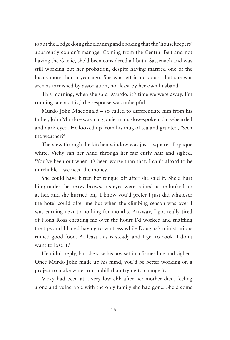job at the Lodge doing the cleaning and cooking that the 'housekeepers' apparently couldn't manage. Coming from the Central Belt and not having the Gaelic, she'd been considered all but a Sassenach and was still working out her probation, despite having married one of the locals more than a year ago. She was left in no doubt that she was seen as tarnished by association, not least by her own husband.

This morning, when she said 'Murdo, it's time we were away. I'm running late as it is,' the response was unhelpful.

Murdo John Macdonald – so called to differentiate him from his father, John Murdo – was a big, quiet man, slow-spoken, dark-bearded and dark-eyed. He looked up from his mug of tea and grunted, 'Seen the weather?'

The view through the kitchen window was just a square of opaque white. Vicky ran her hand through her fair curly hair and sighed. 'You've been out when it's been worse than that. I can't afford to be unreliable – we need the money.'

She could have bitten her tongue off after she said it. She'd hurt him; under the heavy brows, his eyes were pained as he looked up at her, and she hurried on, 'I know you'd prefer I just did whatever the hotel could offer me but when the climbing season was over I was earning next to nothing for months. Anyway, I got really tired of Fiona Ross cheating me over the hours I'd worked and snaffling the tips and I hated having to waitress while Douglas's ministrations ruined good food. At least this is steady and I get to cook. I don't want to lose it.'

He didn't reply, but she saw his jaw set in a firmer line and sighed. Once Murdo John made up his mind, you'd be better working on a project to make water run uphill than trying to change it.

Vicky had been at a very low ebb after her mother died, feeling alone and vulnerable with the only family she had gone. She'd come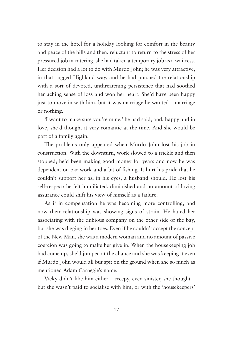to stay in the hotel for a holiday looking for comfort in the beauty and peace of the hills and then, reluctant to return to the stress of her pressured job in catering, she had taken a temporary job as a waitress. Her decision had a lot to do with Murdo John; he was very attractive, in that rugged Highland way, and he had pursued the relationship with a sort of devoted, unthreatening persistence that had soothed her aching sense of loss and won her heart. She'd have been happy just to move in with him, but it was marriage he wanted – marriage or nothing.

'I want to make sure you're mine,' he had said, and, happy and in love, she'd thought it very romantic at the time. And she would be part of a family again.

The problems only appeared when Murdo John lost his job in construction. With the downturn, work slowed to a trickle and then stopped; he'd been making good money for years and now he was dependent on bar work and a bit of fishing. It hurt his pride that he couldn't support her as, in his eyes, a husband should. He lost his self-respect; he felt humiliated, diminished and no amount of loving assurance could shift his view of himself as a failure.

As if in compensation he was becoming more controlling, and now their relationship was showing signs of strain. He hated her associating with the dubious company on the other side of the bay, but she was digging in her toes. Even if he couldn't accept the concept of the New Man, she was a modern woman and no amount of passive coercion was going to make her give in. When the housekeeping job had come up, she'd jumped at the chance and she was keeping it even if Murdo John would all but spit on the ground when she so much as mentioned Adam Carnegie's name.

Vicky didn't like him either – creepy, even sinister, she thought – but she wasn't paid to socialise with him, or with the 'housekeepers'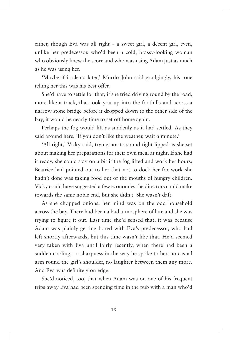either, though Eva was all right – a sweet girl, a decent girl, even, unlike her predecessor, who'd been a cold, brassy-looking woman who obviously knew the score and who was using Adam just as much as he was using her.

'Maybe if it clears later,' Murdo John said grudgingly, his tone telling her this was his best offer.

She'd have to settle for that; if she tried driving round by the road, more like a track, that took you up into the foothills and across a narrow stone bridge before it dropped down to the other side of the bay, it would be nearly time to set off home again.

Perhaps the fog would lift as suddenly as it had settled. As they said around here, 'If you don't like the weather, wait a minute.'

'All right,' Vicky said, trying not to sound tight-lipped as she set about making her preparations for their own meal at night. If she had it ready, she could stay on a bit if the fog lifted and work her hours; Beatrice had pointed out to her that not to dock her for work she hadn't done was taking food out of the mouths of hungry children. Vicky could have suggested a few economies the directors could make towards the same noble end, but she didn't. She wasn't daft.

As she chopped onions, her mind was on the odd household across the bay. There had been a bad atmosphere of late and she was trying to figure it out. Last time she'd sensed that, it was because Adam was plainly getting bored with Eva's predecessor, who had left shortly afterwards, but this time wasn't like that. He'd seemed very taken with Eva until fairly recently, when there had been a sudden cooling – a sharpness in the way he spoke to her, no casual arm round the girl's shoulder, no laughter between them any more. And Eva was definitely on edge.

She'd noticed, too, that when Adam was on one of his frequent trips away Eva had been spending time in the pub with a man who'd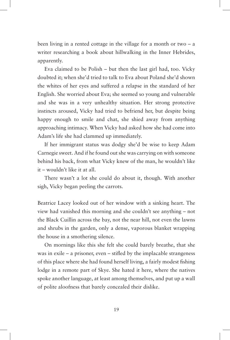been living in a rented cottage in the village for a month or two – a writer researching a book about hillwalking in the Inner Hebrides, apparently.

Eva claimed to be Polish – but then the last girl had, too. Vicky doubted it; when she'd tried to talk to Eva about Poland she'd shown the whites of her eyes and suffered a relapse in the standard of her English. She worried about Eva; she seemed so young and vulnerable and she was in a very unhealthy situation. Her strong protective instincts aroused, Vicky had tried to befriend her, but despite being happy enough to smile and chat, she shied away from anything approaching intimacy. When Vicky had asked how she had come into Adam's life she had clammed up immediately.

If her immigrant status was dodgy she'd be wise to keep Adam Carnegie sweet. And if he found out she was carrying on with someone behind his back, from what Vicky knew of the man, he wouldn't like it – wouldn't like it at all.

There wasn't a lot she could do about it, though. With another sigh, Vicky began peeling the carrots.

Beatrice Lacey looked out of her window with a sinking heart. The view had vanished this morning and she couldn't see anything – not the Black Cuillin across the bay, not the near hill, not even the lawns and shrubs in the garden, only a dense, vaporous blanket wrapping the house in a smothering silence.

On mornings like this she felt she could barely breathe, that she was in exile *–* a prisoner, even *–* stifled by the implacable strangeness of this place where she had found herself living, a fairly modest fishing lodge in a remote part of Skye. She hated it here, where the natives spoke another language, at least among themselves, and put up a wall of polite aloofness that barely concealed their dislike.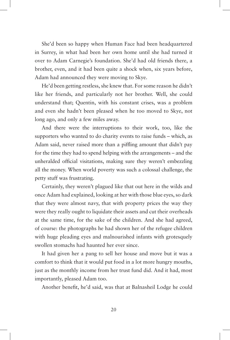She'd been so happy when Human Face had been headquartered in Surrey, in what had been her own home until she had turned it over to Adam Carnegie's foundation. She'd had old friends there, a brother, even, and it had been quite a shock when, six years before, Adam had announced they were moving to Skye.

He'd been getting restless, she knew that. For some reason he didn't like her friends, and particularly not her brother. Well, she could understand that; Quentin, with his constant crises, was a problem and even she hadn't been pleased when he too moved to Skye, not long ago, and only a few miles away.

And there were the interruptions to their work, too, like the supporters who wanted to do charity events to raise funds – which, as Adam said, never raised more than a piffling amount that didn't pay for the time they had to spend helping with the arrangements – and the unheralded official visitations, making sure they weren't embezzling all the money. When world poverty was such a colossal challenge, the petty stuff was frustrating.

Certainly, they weren't plagued like that out here in the wilds and once Adam had explained, looking at her with those blue eyes, so dark that they were almost navy, that with property prices the way they were they really ought to liquidate their assets and cut their overheads at the same time, for the sake of the children. And she had agreed, of course: the photographs he had shown her of the refugee children with huge pleading eyes and malnourished infants with grotesquely swollen stomachs had haunted her ever since.

It had given her a pang to sell her house and move but it was a comfort to think that it would put food in a lot more hungry mouths, just as the monthly income from her trust fund did. And it had, most importantly, pleased Adam too.

Another benefit, he'd said, was that at Balnasheil Lodge he could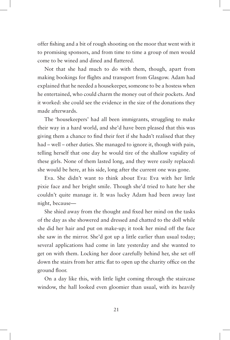offer fishing and a bit of rough shooting on the moor that went with it to promising sponsors, and from time to time a group of men would come to be wined and dined and flattered.

Not that she had much to do with them, though, apart from making bookings for flights and transport from Glasgow. Adam had explained that he needed a housekeeper, someone to be a hostess when he entertained, who could charm the money out of their pockets. And it worked: she could see the evidence in the size of the donations they made afterwards.

The 'housekeepers' had all been immigrants, struggling to make their way in a hard world, and she'd have been pleased that this was giving them a chance to find their feet if she hadn't realised that they had – well – other duties. She managed to ignore it, though with pain, telling herself that one day he would tire of the shallow vapidity of these girls. None of them lasted long, and they were easily replaced: she would be here, at his side, long after the current one was gone.

Eva. She didn't want to think about Eva: Eva with her little pixie face and her bright smile. Though she'd tried to hate her she couldn't quite manage it. It was lucky Adam had been away last night, because—

She shied away from the thought and fixed her mind on the tasks of the day as she showered and dressed and chatted to the doll while she did her hair and put on make-up; it took her mind off the face she saw in the mirror. She'd got up a little earlier than usual today; several applications had come in late yesterday and she wanted to get on with them. Locking her door carefully behind her, she set off down the stairs from her attic flat to open up the charity office on the ground floor.

On a day like this, with little light coming through the staircase window, the hall looked even gloomier than usual, with its heavily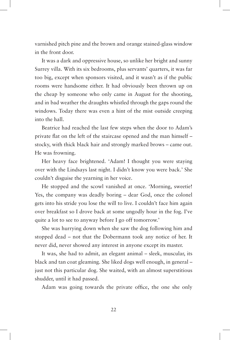varnished pitch pine and the brown and orange stained-glass window in the front door.

It was a dark and oppressive house, so unlike her bright and sunny Surrey villa. With its six bedrooms, plus servants' quarters, it was far too big, except when sponsors visited, and it wasn't as if the public rooms were handsome either. It had obviously been thrown up on the cheap by someone who only came in August for the shooting, and in bad weather the draughts whistled through the gaps round the windows. Today there was even a hint of the mist outside creeping into the hall.

Beatrice had reached the last few steps when the door to Adam's private flat on the left of the staircase opened and the man himself – stocky, with thick black hair and strongly marked brows – came out. He was frowning.

Her heavy face brightened. 'Adam! I thought you were staying over with the Lindsays last night. I didn't know you were back.' She couldn't disguise the yearning in her voice.

He stopped and the scowl vanished at once. 'Morning, sweetie! Yes, the company was deadly boring – dear God, once the colonel gets into his stride you lose the will to live. I couldn't face him again over breakfast so I drove back at some ungodly hour in the fog. I've quite a lot to see to anyway before I go off tomorrow.'

She was hurrying down when she saw the dog following him and stopped dead – not that the Dobermann took any notice of her. It never did, never showed any interest in anyone except its master.

It was, she had to admit, an elegant animal – sleek, muscular, its black and tan coat gleaming. She liked dogs well enough, in general – just not this particular dog. She waited, with an almost superstitious shudder, until it had passed.

Adam was going towards the private office, the one she only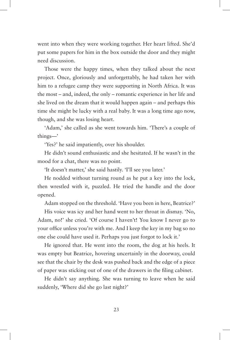went into when they were working together. Her heart lifted. She'd put some papers for him in the box outside the door and they might need discussion.

Those were the happy times, when they talked about the next project. Once, gloriously and unforgettably, he had taken her with him to a refugee camp they were supporting in North Africa. It was the most – and, indeed, the only – romantic experience in her life and she lived on the dream that it would happen again – and perhaps this time she might be lucky with a real baby. It was a long time ago now, though, and she was losing heart.

'Adam,' she called as she went towards him. 'There's a couple of things—'

'Yes?' he said impatiently, over his shoulder.

He didn't sound enthusiastic and she hesitated. If he wasn't in the mood for a chat, there was no point.

'It doesn't matter,' she said hastily. 'I'll see you later.'

He nodded without turning round as he put a key into the lock, then wrestled with it, puzzled. He tried the handle and the door opened.

Adam stopped on the threshold. 'Have you been in here, Beatrice?'

His voice was icy and her hand went to her throat in dismay. 'No, Adam, no!' she cried. 'Of course I haven't! You know I never go to your office unless you're with me. And I keep the key in my bag so no one else could have used it. Perhaps you just forgot to lock it.'

He ignored that. He went into the room, the dog at his heels. It was empty but Beatrice, hovering uncertainly in the doorway, could see that the chair by the desk was pushed back and the edge of a piece of paper was sticking out of one of the drawers in the filing cabinet.

He didn't say anything. She was turning to leave when he said suddenly, 'Where did she go last night?'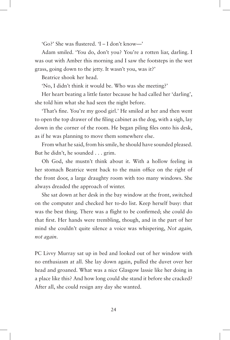'Go?' She was flustered. 'I – I don't know—'

Adam smiled. 'You do, don't you? You're a rotten liar, darling. I was out with Amber this morning and I saw the footsteps in the wet grass, going down to the jetty. It wasn't you, was it?'

Beatrice shook her head.

'No, I didn't think it would be. Who was she meeting?'

Her heart beating a little faster because he had called her 'darling', she told him what she had seen the night before.

'That's fine. You're my good girl.' He smiled at her and then went to open the top drawer of the filing cabinet as the dog, with a sigh, lay down in the corner of the room. He began piling files onto his desk, as if he was planning to move them somewhere else.

From what he said, from his smile, he should have sounded pleased. But he didn't, he sounded . . . grim.

Oh God, she mustn't think about it. With a hollow feeling in her stomach Beatrice went back to the main office on the right of the front door, a large draughty room with too many windows. She always dreaded the approach of winter.

She sat down at her desk in the bay window at the front, switched on the computer and checked her to-do list. Keep herself busy: that was the best thing. There was a flight to be confirmed; she could do that first. Her hands were trembling, though, and in the part of her mind she couldn't quite silence a voice was whispering, *Not again, not again*.

PC Livvy Murray sat up in bed and looked out of her window with no enthusiasm at all. She lay down again, pulled the duvet over her head and groaned. What was a nice Glasgow lassie like her doing in a place like this? And how long could she stand it before she cracked? After all, she could resign any day she wanted.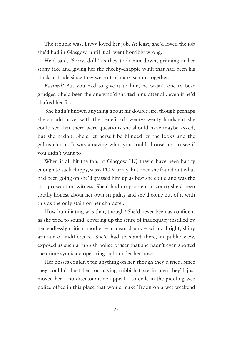The trouble was, Livvy loved her job. At least, she'd loved the job she'd had in Glasgow, until it all went horribly wrong.

He'd said, 'Sorry, doll,' as they took him down, grinning at her stony face and giving her the cheeky-chappie wink that had been his stock-in-trade since they were at primary school together.

*Bastard!* But you had to give it to him, he wasn't one to bear grudges. She'd been the one who'd shafted him, after all, even if he'd shafted her first.

 She hadn't known anything about his double life, though perhaps she should have: with the benefit of twenty-twenty hindsight she could see that there were questions she should have maybe asked, but she hadn't. She'd let herself be blinded by the looks and the gallus charm. It was amazing what you could choose not to see if you didn't want to.

When it all hit the fan, at Glasgow HQ they'd have been happy enough to sack chippy, sassy PC Murray, but once she found out what had been going on she'd grassed him up as best she could and was the star prosecution witness. She'd had no problem in court; she'd been totally honest about her own stupidity and she'd come out of it with this as the only stain on her character.

How humiliating was that, though? She'd never been as confident as she tried to sound, covering up the sense of inadequacy instilled by her endlessly critical mother – a mean drunk – with a bright, shiny armour of indifference. She'd had to stand there, in public view, exposed as such a rubbish police officer that she hadn't even spotted the crime syndicate operating right under her nose.

Her bosses couldn't pin anything on her, though they'd tried. Since they couldn't bust her for having rubbish taste in men they'd just moved her – no discussion, no appeal – to exile in the piddling wee police office in this place that would make Troon on a wet weekend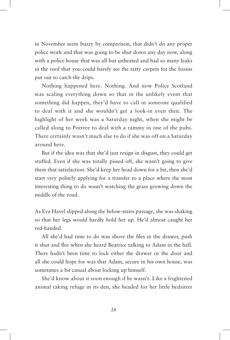in November seem buzzy by comparison, that didn't do any proper police work and that was going to be shut down any day now, along with a police house that was all but unheated and had so many leaks in the roof that you could barely see the tatty carpets for the basins put out to catch the drips.

Nothing happened here. Nothing. And now Police Scotland was scaling everything down so that in the unlikely event that something did happen, they'd have to call in someone qualified to deal with it and she wouldn't get a look-in even then. The highlight of her week was a Saturday night, when she might be called along to Portree to deal with a rammy in one of the pubs. There certainly wasn't much else to do if she was off on a Saturday around here.

But if the idea was that she'd just resign in disgust, they could get stuffed. Even if she was totally pissed off, she wasn't going to give them that satisfaction. She'd keep her head down for a bit, then she'd start very politely applying for a transfer to a place where the most interesting thing to do wasn't watching the grass growing down the middle of the road.

As Eva Havel slipped along the below-stairs passage, she was shaking so that her legs would hardly hold her up. He'd almost caught her red-handed.

All she'd had time to do was shove the files in the drawer, push it shut and flee when she heard Beatrice talking to Adam in the hall. There hadn't been time to lock either the drawer or the door and all she could hope for was that Adam, secure in his own house, was sometimes a bit casual about locking up himself.

She'd know about it soon enough if he wasn't. Like a frightened animal taking refuge in its den, she headed for her little bedsitter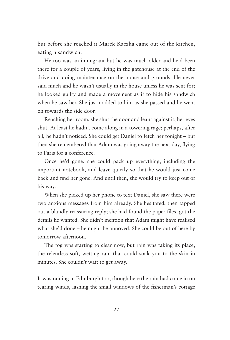but before she reached it Marek Kaczka came out of the kitchen, eating a sandwich.

He too was an immigrant but he was much older and he'd been there for a couple of years, living in the gatehouse at the end of the drive and doing maintenance on the house and grounds. He never said much and he wasn't usually in the house unless he was sent for; he looked guilty and made a movement as if to hide his sandwich when he saw her. She just nodded to him as she passed and he went on towards the side door.

Reaching her room, she shut the door and leant against it, her eyes shut. At least he hadn't come along in a towering rage; perhaps, after all, he hadn't noticed. She could get Daniel to fetch her tonight – but then she remembered that Adam was going away the next day, flying to Paris for a conference.

Once he'd gone, she could pack up everything, including the important notebook, and leave quietly so that he would just come back and find her gone. And until then, she would try to keep out of his way.

When she picked up her phone to text Daniel, she saw there were two anxious messages from him already. She hesitated, then tapped out a blandly reassuring reply; she had found the paper files, got the details he wanted. She didn't mention that Adam might have realised what she'd done – he might be annoyed. She could be out of here by tomorrow afternoon.

The fog was starting to clear now, but rain was taking its place, the relentless soft, wetting rain that could soak you to the skin in minutes. She couldn't wait to get away.

It was raining in Edinburgh too, though here the rain had come in on tearing winds, lashing the small windows of the fisherman's cottage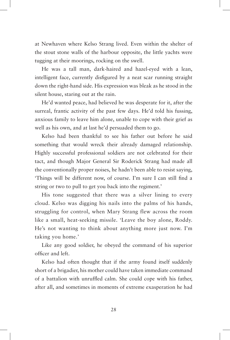at Newhaven where Kelso Strang lived. Even within the shelter of the stout stone walls of the harbour opposite, the little yachts were tugging at their moorings, rocking on the swell.

He was a tall man, dark-haired and hazel-eyed with a lean, intelligent face, currently disfigured by a neat scar running straight down the right-hand side. His expression was bleak as he stood in the silent house, staring out at the rain.

He'd wanted peace, had believed he was desperate for it, after the surreal, frantic activity of the past few days. He'd told his fussing, anxious family to leave him alone, unable to cope with their grief as well as his own, and at last he'd persuaded them to go.

Kelso had been thankful to see his father out before he said something that would wreck their already damaged relationship. Highly successful professional soldiers are not celebrated for their tact, and though Major General Sir Roderick Strang had made all the conventionally proper noises, he hadn't been able to resist saying, 'Things will be different now, of course. I'm sure I can still find a string or two to pull to get you back into the regiment.'

His tone suggested that there was a silver lining to every cloud. Kelso was digging his nails into the palms of his hands, struggling for control, when Mary Strang flew across the room like a small, heat-seeking missile. 'Leave the boy alone, Roddy. He's not wanting to think about anything more just now. I'm taking you home.'

Like any good soldier, he obeyed the command of his superior officer and left.

Kelso had often thought that if the army found itself suddenly short of a brigadier, his mother could have taken immediate command of a battalion with unruffled calm. She could cope with his father, after all, and sometimes in moments of extreme exasperation he had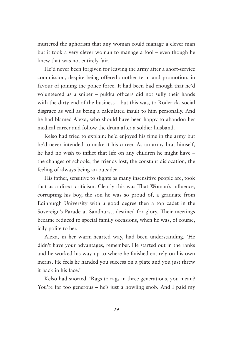muttered the aphorism that any woman could manage a clever man but it took a very clever woman to manage a fool – even though he knew that was not entirely fair.

He'd never been forgiven for leaving the army after a short-service commission, despite being offered another term and promotion, in favour of joining the police force. It had been bad enough that he'd volunteered as a sniper – pukka officers did not sully their hands with the dirty end of the business – but this was, to Roderick, social disgrace as well as being a calculated insult to him personally. And he had blamed Alexa, who should have been happy to abandon her medical career and follow the drum after a soldier husband.

Kelso had tried to explain: he'd enjoyed his time in the army but he'd never intended to make it his career. As an army brat himself, he had no wish to inflict that life on any children he might have – the changes of schools, the friends lost, the constant dislocation, the feeling of always being an outsider.

His father, sensitive to slights as many insensitive people are, took that as a direct criticism. Clearly this was That Woman's influence, corrupting his boy, the son he was so proud of, a graduate from Edinburgh University with a good degree then a top cadet in the Sovereign's Parade at Sandhurst, destined for glory. Their meetings became reduced to special family occasions, when he was, of course, icily polite to her.

Alexa, in her warm-hearted way, had been understanding. 'He didn't have your advantages, remember. He started out in the ranks and he worked his way up to where he finished entirely on his own merits. He feels he handed you success on a plate and you just threw it back in his face.'

Kelso had snorted. 'Rags to rags in three generations, you mean? You're far too generous – he's just a howling snob. And I paid my